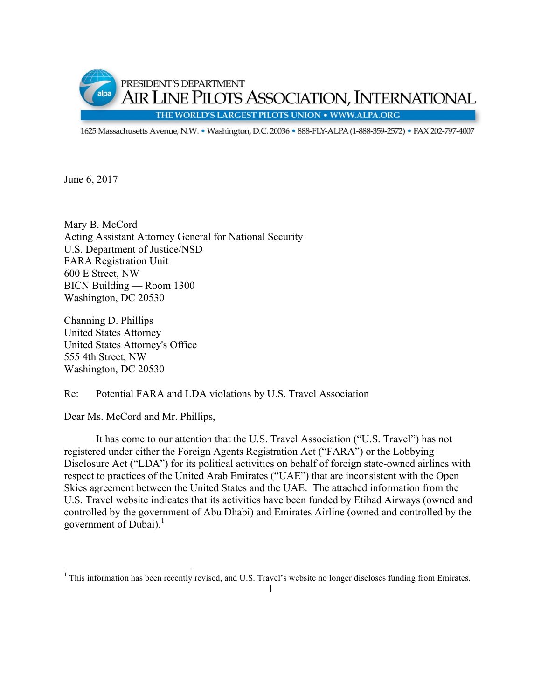

1625 Massachusetts Avenue, N.W. · Washington, D.C. 20036 · 888-FLY-ALPA (1-888-359-2572) · FAX 202-797-4007

June 6, 2017

Mary B. McCord Acting Assistant Attorney General for National Security U.S. Department of Justice/NSD FARA Registration Unit 600 E Street, NW BICN Building — Room 1300 Washington, DC 20530

Channing D. Phillips United States Attorney United States Attorney's Office 555 4th Street, NW Washington, DC 20530

## Re: Potential FARA and LDA violations by U.S. Travel Association

Dear Ms. McCord and Mr. Phillips,

It has come to our attention that the U.S. Travel Association ("U.S. Travel") has not registered under either the Foreign Agents Registration Act ("FARA") or the Lobbying Disclosure Act ("LDA") for its political activities on behalf of foreign state-owned airlines with respect to practices of the United Arab Emirates ("UAE") that are inconsistent with the Open Skies agreement between the United States and the UAE. The attached information from the U.S. Travel website indicates that its activities have been funded by Etihad Airways (owned and controlled by the government of Abu Dhabi) and Emirates Airline (owned and controlled by the government of Dubai).<sup>1</sup>

<sup>&</sup>lt;sup>1</sup> This information has been recently revised, and U.S. Travel's website no longer discloses funding from Emirates.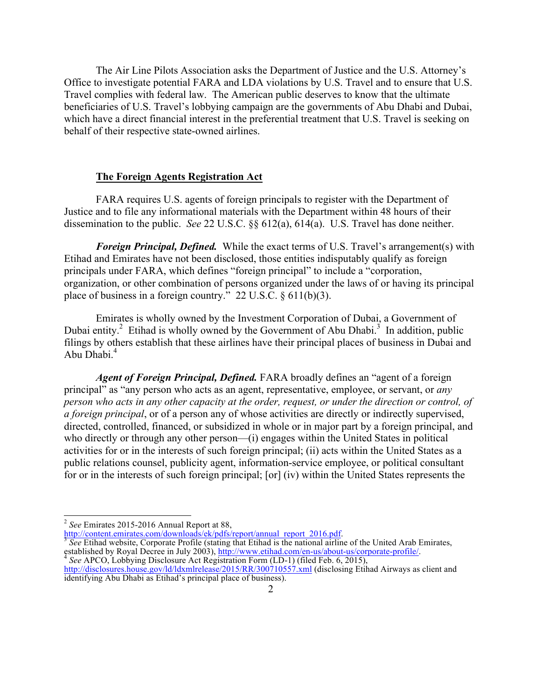The Air Line Pilots Association asks the Department of Justice and the U.S. Attorney's Office to investigate potential FARA and LDA violations by U.S. Travel and to ensure that U.S. Travel complies with federal law. The American public deserves to know that the ultimate beneficiaries of U.S. Travel's lobbying campaign are the governments of Abu Dhabi and Dubai, which have a direct financial interest in the preferential treatment that U.S. Travel is seeking on behalf of their respective state-owned airlines.

## **The Foreign Agents Registration Act**

FARA requires U.S. agents of foreign principals to register with the Department of Justice and to file any informational materials with the Department within 48 hours of their dissemination to the public. *See* 22 U.S.C. §§ 612(a), 614(a). U.S. Travel has done neither.

*Foreign Principal, Defined.*While the exact terms of U.S. Travel's arrangement(s) with Etihad and Emirates have not been disclosed, those entities indisputably qualify as foreign principals under FARA, which defines "foreign principal" to include a "corporation, organization, or other combination of persons organized under the laws of or having its principal place of business in a foreign country." 22 U.S.C. § 611(b)(3).

Emirates is wholly owned by the Investment Corporation of Dubai, a Government of Dubai entity.<sup>2</sup> Etihad is wholly owned by the Government of Abu Dhabi.<sup>3</sup> In addition, public filings by others establish that these airlines have their principal places of business in Dubai and Abu Dhabi.<sup>4</sup>

*Agent of Foreign Principal, Defined.* FARA broadly defines an "agent of a foreign principal" as "any person who acts as an agent, representative, employee, or servant, or *any person who acts in any other capacity at the order, request, or under the direction or control, of a foreign principal*, or of a person any of whose activities are directly or indirectly supervised, directed, controlled, financed, or subsidized in whole or in major part by a foreign principal, and who directly or through any other person—(i) engages within the United States in political activities for or in the interests of such foreign principal; (ii) acts within the United States as a public relations counsel, publicity agent, information-service employee, or political consultant for or in the interests of such foreign principal; [or] (iv) within the United States represents the

http://content.emirates.com/downloads/ek/pdfs/report/annual\_report\_2016.pdf.<br><sup>3</sup> *See* Etihad website, Corporate Profile (stating that Etihad is the national airline of the United Arab Emirates, established by Royal Decree established by Royal Decree in July 2003), http://www.etihad.com/en-us/about-us/corporate-profile/.<br><sup>4</sup> See APCO, Lobbying Disclosure Act Registration Form (LD-1) (filed Feb. 6, 2015),<br>http://disclosures.house.gov/ld/ldxml

 <sup>2</sup> *See* Emirates 2015-2016 Annual Report at 88,

identifying Abu Dhabi as Etihad's principal place of business).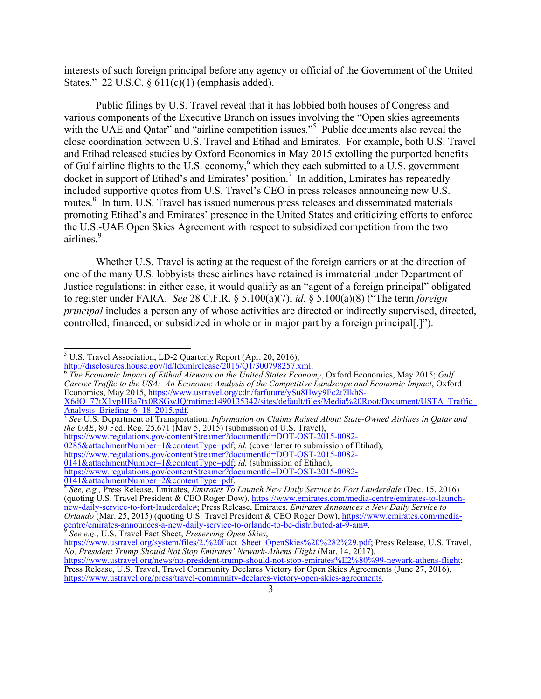interests of such foreign principal before any agency or official of the Government of the United States." 22 U.S.C.  $\S 611(c)(1)$  (emphasis added).

Public filings by U.S. Travel reveal that it has lobbied both houses of Congress and various components of the Executive Branch on issues involving the "Open skies agreements with the UAE and Qatar" and "airline competition issues."<sup>5</sup> Public documents also reveal the close coordination between U.S. Travel and Etihad and Emirates. For example, both U.S. Travel and Etihad released studies by Oxford Economics in May 2015 extolling the purported benefits of Gulf airline flights to the U.S. economy,<sup>6</sup> which they each submitted to a U.S. government docket in support of Etihad's and Emirates' position.<sup>7</sup> In addition, Emirates has repeatedly included supportive quotes from U.S. Travel's CEO in press releases announcing new U.S. routes.<sup>8</sup> In turn, U.S. Travel has issued numerous press releases and disseminated materials promoting Etihad's and Emirates' presence in the United States and criticizing efforts to enforce the U.S.-UAE Open Skies Agreement with respect to subsidized competition from the two airlines.<sup>9</sup>

Whether U.S. Travel is acting at the request of the foreign carriers or at the direction of one of the many U.S. lobbyists these airlines have retained is immaterial under Department of Justice regulations: in either case, it would qualify as an "agent of a foreign principal" obligated to register under FARA. *See* 28 C.F.R. § 5.100(a)(7); *id.* § 5.100(a)(8) ("The term *foreign principal* includes a person any of whose activities are directed or indirectly supervised, directed, controlled, financed, or subsidized in whole or in major part by a foreign principal[.]").

<sup>&</sup>lt;sup>5</sup> U.S. Travel Association, LD-2 Quarterly Report (Apr. 20, 2016), http://disclosures.house.gov/ld/ldxmlrelease/2016/01/300798257.xml.

<sup>&</sup>lt;sup>6</sup> The Economic Impact of Etihad Airways on the United States Economy, Oxford Economics, May 2015; *Gulf Carrier Traffic to the USA: An Economic Analysis of the Competitive Landscape and Economic Impact*, Oxford Economics, May 2015, https://www.ustravel.org/cdn/farfuture/ySu8Hwy9Fc2t7IkhS-X6dO\_77tX1vpHBa7tx0RSGwJQ/mtime:1490135342/sites/default/files/Media%20Root/Document/USTA\_Traffic\_

Analysis\_Briefing\_6\_18\_2015.pdf. <sup>7</sup> *See* U.S. Department of Transportation, *Information on Claims Raised About State-Owned Airlines in Qatar and the UAE*, 80 Fed. Reg. 25,671 (May 5, 2015) (submission of U.S. Travel),

https://www.regulations.gov/contentStreamer?documentId=DOT-OST-2015-0082-

<sup>0285&</sup>amp;attachmentNumber=1&contentType=pdf; *id.* (cover letter to submission of Etihad),

https://www.regulations.gov/contentStreamer?documentId=DOT-OST-2015-0082-

<sup>0141&</sup>amp;attachmentNumber=1&contentType=pdf; *id.* (submission of Etihad),

https://www.regulations.gov/contentStreamer?documentId=DOT-OST-2015-0082-

<sup>0141&</sup>amp;attachmentNumber=2&contentType=pdf. <sup>8</sup> *See, e.g.,* Press Release, Emirates, *Emirates To Launch New Daily Service to Fort Lauderdale* (Dec. 15, 2016) (quoting U.S. Travel President & CEO Roger Dow), https://www.emirates.com/media-centre/emirates-to-launchnew-daily-service-to-fort-lauderdale#; Press Release, Emirates, *Emirates Announces a New Daily Service to Orlando* (Mar. 25, 2015) (quoting U.S. Travel President & CEO Roger Dow), https://www.emirates.com/mediaentre/emirates-announces-a-new-daily-service-to-orlando-to-be-distributed-at-9-am#.<br>
See e.g., U.S. Travel Fact Sheet, Preserving Open Skies,<br>
https://www.ustravel.org/system/files/2.%20Fact Sheet OpenSkies%20%282%29.pdf;

*No, President Trump Should Not Stop Emirates' Newark-Athens Flight* (Mar. 14, 2017),

https://www.ustravel.org/news/no-president-trump-should-not-stop-emirates%E2%80%99-newark-athens-flight; Press Release, U.S. Travel, Travel Community Declares Victory for Open Skies Agreements (June 27, 2016), https://www.ustravel.org/press/travel-community-declares-victory-open-skies-agreements.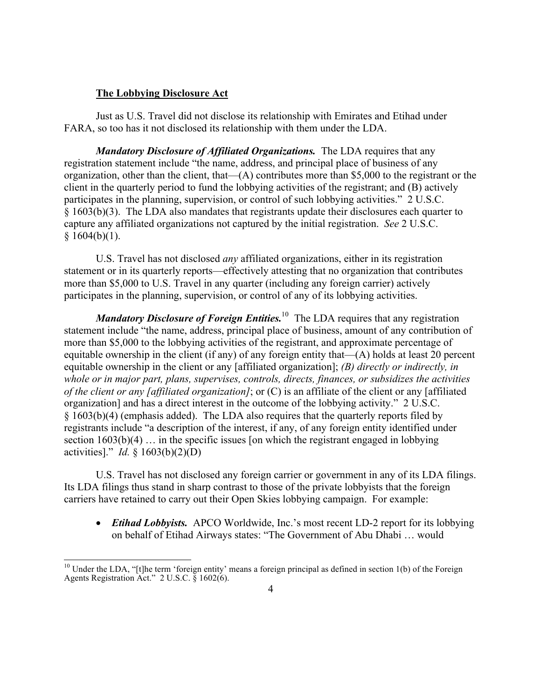## **The Lobbying Disclosure Act**

Just as U.S. Travel did not disclose its relationship with Emirates and Etihad under FARA, so too has it not disclosed its relationship with them under the LDA.

*Mandatory Disclosure of Affiliated Organizations.* The LDA requires that any registration statement include "the name, address, and principal place of business of any organization, other than the client, that—(A) contributes more than \$5,000 to the registrant or the client in the quarterly period to fund the lobbying activities of the registrant; and (B) actively participates in the planning, supervision, or control of such lobbying activities." 2 U.S.C. § 1603(b)(3). The LDA also mandates that registrants update their disclosures each quarter to capture any affiliated organizations not captured by the initial registration. *See* 2 U.S.C.  $§ 1604(b)(1).$ 

U.S. Travel has not disclosed *any* affiliated organizations, either in its registration statement or in its quarterly reports—effectively attesting that no organization that contributes more than \$5,000 to U.S. Travel in any quarter (including any foreign carrier) actively participates in the planning, supervision, or control of any of its lobbying activities.

*Mandatory Disclosure of Foreign Entities.*<sup>10</sup> The LDA requires that any registration statement include "the name, address, principal place of business, amount of any contribution of more than \$5,000 to the lobbying activities of the registrant, and approximate percentage of equitable ownership in the client (if any) of any foreign entity that—(A) holds at least 20 percent equitable ownership in the client or any [affiliated organization]; *(B) directly or indirectly, in whole or in major part, plans, supervises, controls, directs, finances, or subsidizes the activities of the client or any [affiliated organization]*; or (C) is an affiliate of the client or any [affiliated organization] and has a direct interest in the outcome of the lobbying activity." 2 U.S.C. § 1603(b)(4) (emphasis added). The LDA also requires that the quarterly reports filed by registrants include "a description of the interest, if any, of any foreign entity identified under section  $1603(b)(4)$  ... in the specific issues [on which the registrant engaged in lobbying activities]." *Id.* § 1603(b)(2)(D)

U.S. Travel has not disclosed any foreign carrier or government in any of its LDA filings. Its LDA filings thus stand in sharp contrast to those of the private lobbyists that the foreign carriers have retained to carry out their Open Skies lobbying campaign. For example:

• *Etihad Lobbyists.* APCO Worldwide, Inc.'s most recent LD-2 report for its lobbying on behalf of Etihad Airways states: "The Government of Abu Dhabi … would

 $10$  Under the LDA, "[t]he term 'foreign entity' means a foreign principal as defined in section 1(b) of the Foreign Agents Registration Act." 2 U.S.C. § 1602(6).